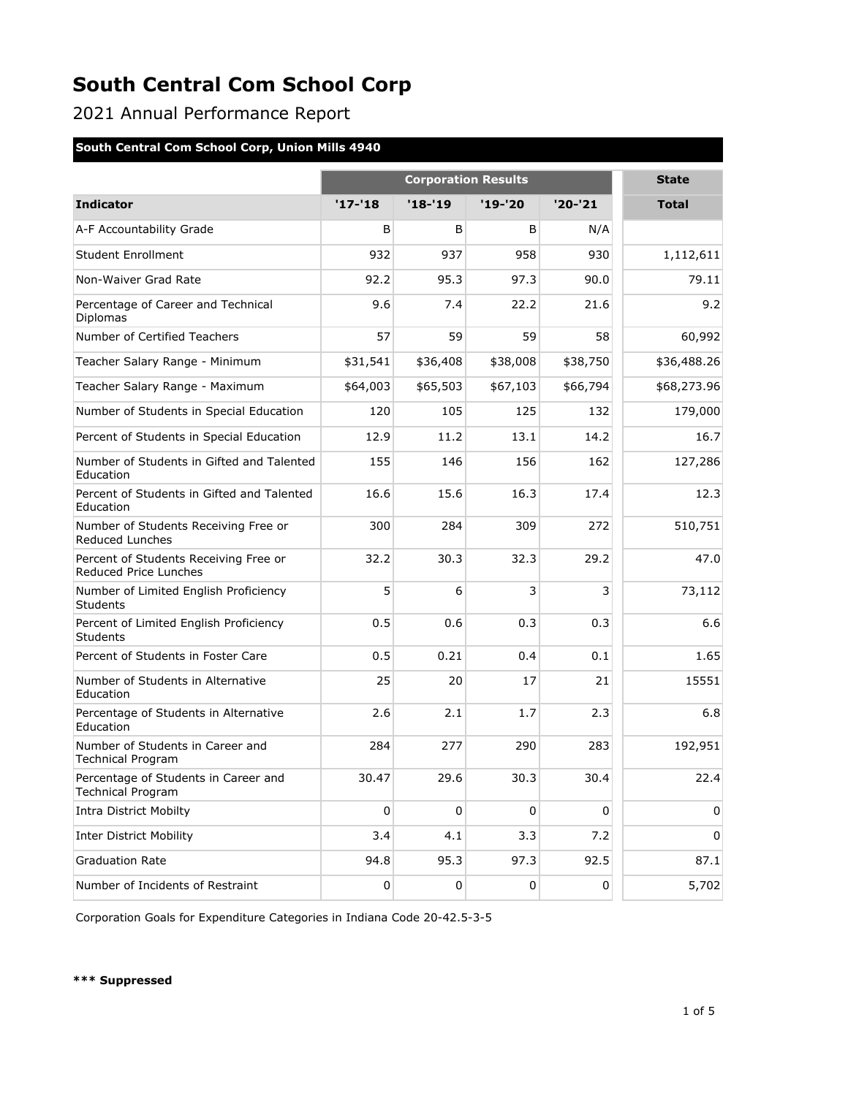2021 Annual Performance Report

### **South Central Com School Corp, Union Mills 4940**

|                                                                  | <b>Corporation Results</b> |             |             |             | <b>State</b> |
|------------------------------------------------------------------|----------------------------|-------------|-------------|-------------|--------------|
| <b>Indicator</b>                                                 | $'17 - 18$                 | '18-'19     | $'19-'20$   | $'20 - '21$ | <b>Total</b> |
| A-F Accountability Grade                                         | B                          | B           | B           | N/A         |              |
| <b>Student Enrollment</b>                                        | 932                        | 937         | 958         | 930         | 1,112,611    |
| Non-Waiver Grad Rate                                             | 92.2                       | 95.3        | 97.3        | 90.0        | 79.11        |
| Percentage of Career and Technical<br>Diplomas                   | 9.6                        | 7.4         | 22.2        | 21.6        | 9.2          |
| Number of Certified Teachers                                     | 57                         | 59          | 59          | 58          | 60,992       |
| Teacher Salary Range - Minimum                                   | \$31,541                   | \$36,408    | \$38,008    | \$38,750    | \$36,488.26  |
| Teacher Salary Range - Maximum                                   | \$64,003                   | \$65,503    | \$67,103    | \$66,794    | \$68,273.96  |
| Number of Students in Special Education                          | 120                        | 105         | 125         | 132         | 179,000      |
| Percent of Students in Special Education                         | 12.9                       | 11.2        | 13.1        | 14.2        | 16.7         |
| Number of Students in Gifted and Talented<br>Education           | 155                        | 146         | 156         | 162         | 127,286      |
| Percent of Students in Gifted and Talented<br>Education          | 16.6                       | 15.6        | 16.3        | 17.4        | 12.3         |
| Number of Students Receiving Free or<br><b>Reduced Lunches</b>   | 300                        | 284         | 309         | 272         | 510,751      |
| Percent of Students Receiving Free or<br>Reduced Price Lunches   | 32.2                       | 30.3        | 32.3        | 29.2        | 47.0         |
| Number of Limited English Proficiency<br><b>Students</b>         | 5                          | 6           | 3           | 3           | 73,112       |
| Percent of Limited English Proficiency<br><b>Students</b>        | 0.5                        | 0.6         | 0.3         | 0.3         | 6.6          |
| Percent of Students in Foster Care                               | 0.5                        | 0.21        | 0.4         | 0.1         | 1.65         |
| Number of Students in Alternative<br>Education                   | 25                         | 20          | 17          | 21          | 15551        |
| Percentage of Students in Alternative<br>Education               | 2.6                        | 2.1         | 1.7         | 2.3         | 6.8          |
| Number of Students in Career and<br><b>Technical Program</b>     | 284                        | 277         | 290         | 283         | 192,951      |
| Percentage of Students in Career and<br><b>Technical Program</b> | 30.47                      | 29.6        | 30.3        | 30.4        | 22.4         |
| <b>Intra District Mobilty</b>                                    | 0                          | $\mathbf 0$ | $\mathbf 0$ | $\pmb{0}$   | $\mathbf 0$  |
| <b>Inter District Mobility</b>                                   | 3.4                        | 4.1         | 3.3         | 7.2         | $\mathbf 0$  |
| <b>Graduation Rate</b>                                           | 94.8                       | 95.3        | 97.3        | 92.5        | 87.1         |
| Number of Incidents of Restraint                                 | 0                          | 0           | 0           | $\pmb{0}$   | 5,702        |

Corporation Goals for Expenditure Categories in Indiana Code 20-42.5-3-5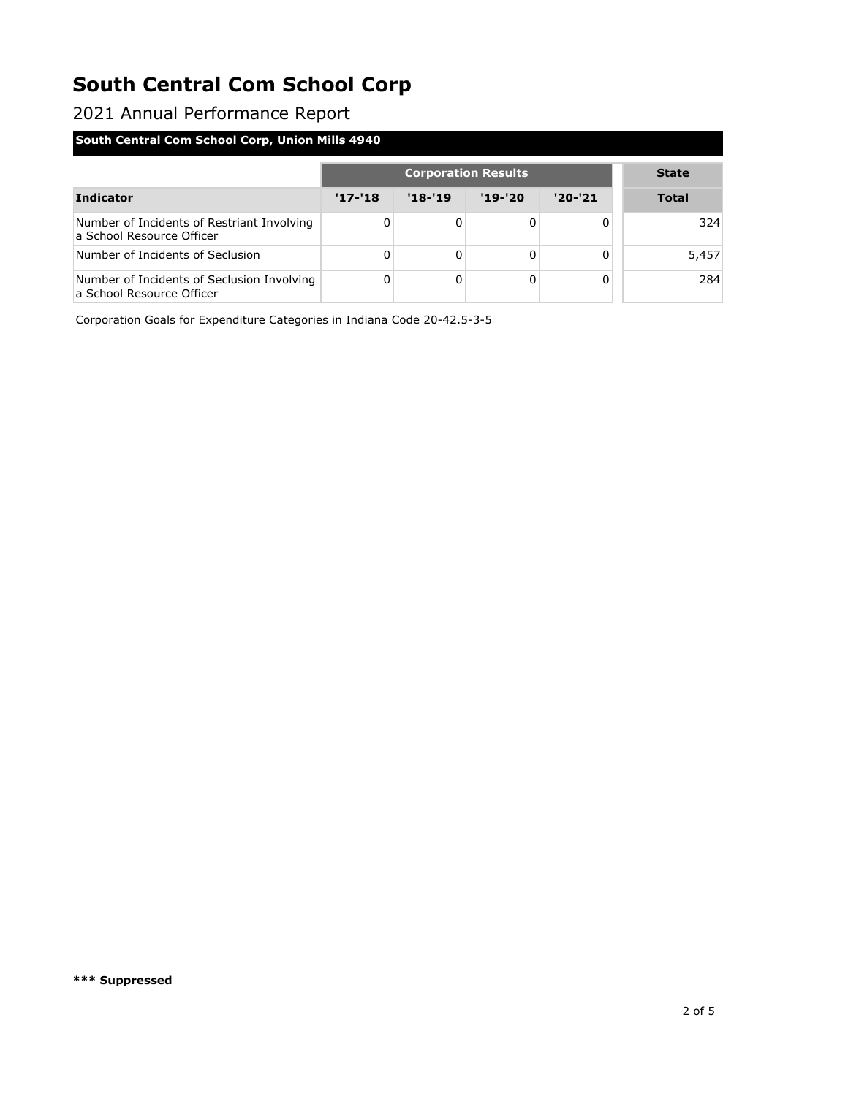2021 Annual Performance Report

### **South Central Com School Corp, Union Mills 4940**

|                                                                         | <b>Corporation Results</b> |            |            |          | <b>State</b> |
|-------------------------------------------------------------------------|----------------------------|------------|------------|----------|--------------|
| <b>Indicator</b>                                                        | $'17 - 18$                 | $'18 - 19$ | $'19 - 20$ | $'20-21$ | <b>Total</b> |
| Number of Incidents of Restriant Involving<br>a School Resource Officer |                            | 0          |            | 0        | 324          |
| Number of Incidents of Seclusion                                        |                            | 0          |            | 0        | 5,457        |
| Number of Incidents of Seclusion Involving<br>a School Resource Officer | 0                          | 0          |            | 0        | 284          |

Corporation Goals for Expenditure Categories in Indiana Code 20-42.5-3-5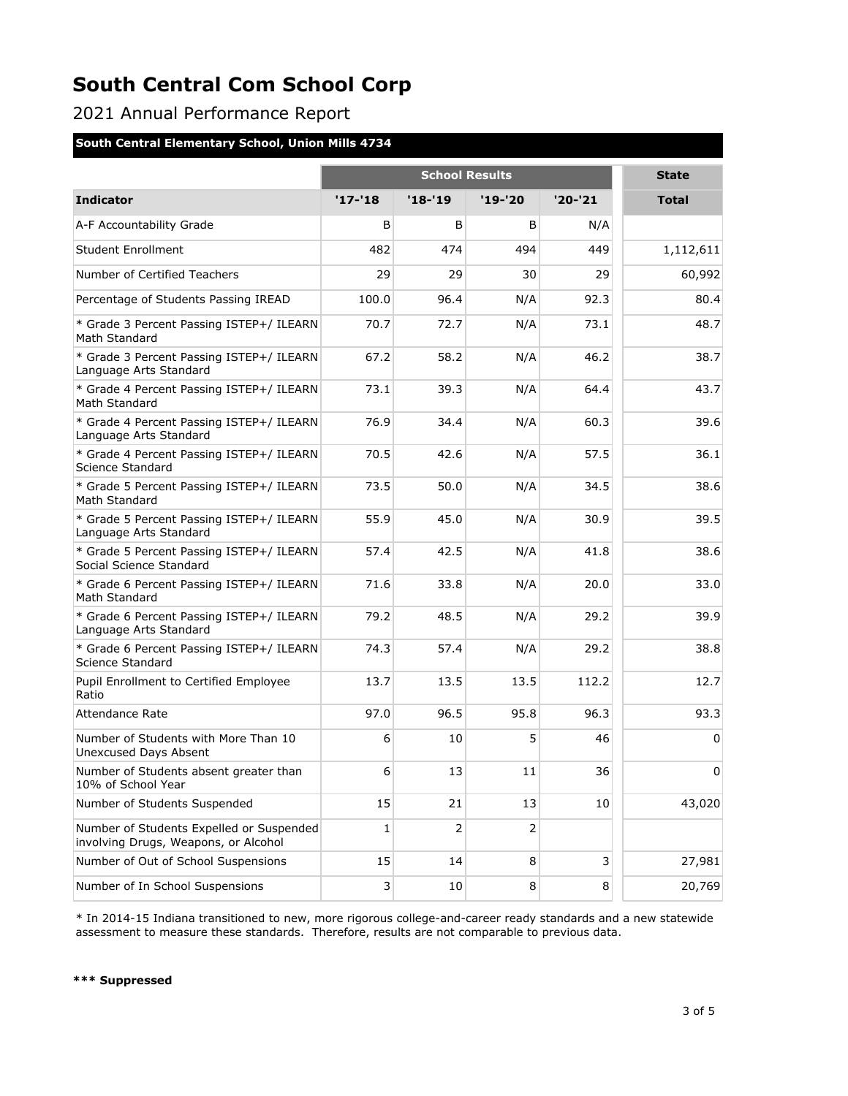2021 Annual Performance Report

### **South Central Elementary School, Union Mills 4734**

|                                                                                  | <b>School Results</b> |            |           |         | <b>State</b> |
|----------------------------------------------------------------------------------|-----------------------|------------|-----------|---------|--------------|
| <b>Indicator</b>                                                                 | $'17 - 18$            | $'18 - 19$ | $'19-'20$ | '20-'21 | <b>Total</b> |
| A-F Accountability Grade                                                         | B                     | B          | B         | N/A     |              |
| <b>Student Enrollment</b>                                                        | 482                   | 474        | 494       | 449     | 1,112,611    |
| Number of Certified Teachers                                                     | 29                    | 29         | 30        | 29      | 60,992       |
| Percentage of Students Passing IREAD                                             | 100.0                 | 96.4       | N/A       | 92.3    | 80.4         |
| * Grade 3 Percent Passing ISTEP+/ ILEARN<br>Math Standard                        | 70.7                  | 72.7       | N/A       | 73.1    | 48.7         |
| * Grade 3 Percent Passing ISTEP+/ ILEARN<br>Language Arts Standard               | 67.2                  | 58.2       | N/A       | 46.2    | 38.7         |
| * Grade 4 Percent Passing ISTEP+/ ILEARN<br>Math Standard                        | 73.1                  | 39.3       | N/A       | 64.4    | 43.7         |
| * Grade 4 Percent Passing ISTEP+/ ILEARN<br>Language Arts Standard               | 76.9                  | 34.4       | N/A       | 60.3    | 39.6         |
| * Grade 4 Percent Passing ISTEP+/ ILEARN<br>Science Standard                     | 70.5                  | 42.6       | N/A       | 57.5    | 36.1         |
| * Grade 5 Percent Passing ISTEP+/ ILEARN<br>Math Standard                        | 73.5                  | 50.0       | N/A       | 34.5    | 38.6         |
| * Grade 5 Percent Passing ISTEP+/ ILEARN<br>Language Arts Standard               | 55.9                  | 45.0       | N/A       | 30.9    | 39.5         |
| * Grade 5 Percent Passing ISTEP+/ ILEARN<br>Social Science Standard              | 57.4                  | 42.5       | N/A       | 41.8    | 38.6         |
| * Grade 6 Percent Passing ISTEP+/ ILEARN<br>Math Standard                        | 71.6                  | 33.8       | N/A       | 20.0    | 33.0         |
| * Grade 6 Percent Passing ISTEP+/ ILEARN<br>Language Arts Standard               | 79.2                  | 48.5       | N/A       | 29.2    | 39.9         |
| * Grade 6 Percent Passing ISTEP+/ ILEARN<br>Science Standard                     | 74.3                  | 57.4       | N/A       | 29.2    | 38.8         |
| Pupil Enrollment to Certified Employee<br>Ratio                                  | 13.7                  | 13.5       | 13.5      | 112.2   | 12.7         |
| <b>Attendance Rate</b>                                                           | 97.0                  | 96.5       | 95.8      | 96.3    | 93.3         |
| Number of Students with More Than 10<br><b>Unexcused Days Absent</b>             | 6                     | 10         | 5         | 46      | 0            |
| Number of Students absent greater than<br>10% of School Year                     | 6                     | 13         | 11        | 36      | 0            |
| Number of Students Suspended                                                     | 15                    | 21         | 13        | 10      | 43,020       |
| Number of Students Expelled or Suspended<br>involving Drugs, Weapons, or Alcohol | 1                     | 2          | 2         |         |              |
| Number of Out of School Suspensions                                              | 15                    | 14         | 8         | 3       | 27,981       |
| Number of In School Suspensions                                                  | 3                     | 10         | 8         | 8       | 20,769       |

\* In 2014-15 Indiana transitioned to new, more rigorous college-and-career ready standards and a new statewide assessment to measure these standards. Therefore, results are not comparable to previous data.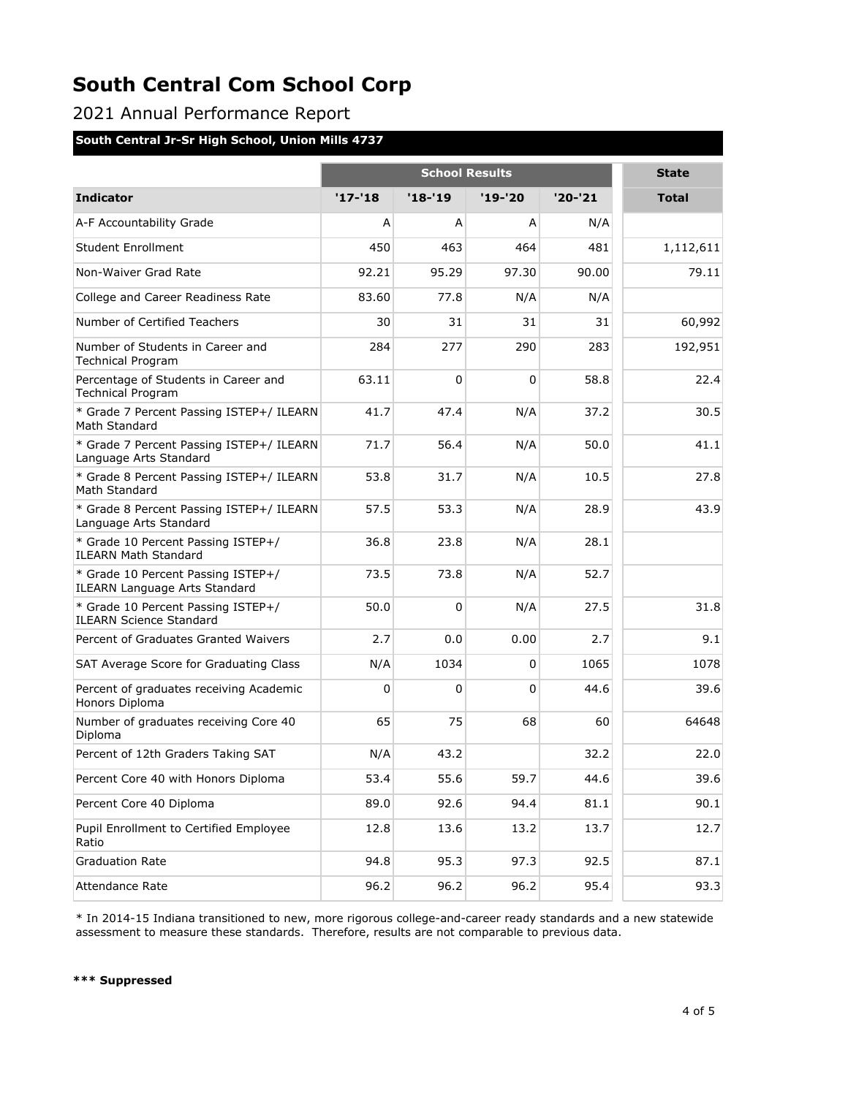2021 Annual Performance Report

#### **South Central Jr-Sr High School, Union Mills 4737**

|                                                                            | <b>School Results</b> |          |          |           | <b>State</b> |
|----------------------------------------------------------------------------|-----------------------|----------|----------|-----------|--------------|
| <b>Indicator</b>                                                           | $'17 - 18$            | $'18-19$ | '19-'20  | $'20-'21$ | <b>Total</b> |
| A-F Accountability Grade                                                   | A                     | A        | A        | N/A       |              |
| <b>Student Enrollment</b>                                                  | 450                   | 463      | 464      | 481       | 1,112,611    |
| Non-Waiver Grad Rate                                                       | 92.21                 | 95.29    | 97.30    | 90.00     | 79.11        |
| College and Career Readiness Rate                                          | 83.60                 | 77.8     | N/A      | N/A       |              |
| Number of Certified Teachers                                               | 30                    | 31       | 31       | 31        | 60,992       |
| Number of Students in Career and<br><b>Technical Program</b>               | 284                   | 277      | 290      | 283       | 192,951      |
| Percentage of Students in Career and<br><b>Technical Program</b>           | 63.11                 | $\Omega$ | $\Omega$ | 58.8      | 22.4         |
| * Grade 7 Percent Passing ISTEP+/ ILEARN<br>Math Standard                  | 41.7                  | 47.4     | N/A      | 37.2      | 30.5         |
| * Grade 7 Percent Passing ISTEP+/ ILEARN<br>Language Arts Standard         | 71.7                  | 56.4     | N/A      | 50.0      | 41.1         |
| * Grade 8 Percent Passing ISTEP+/ ILEARN<br>Math Standard                  | 53.8                  | 31.7     | N/A      | 10.5      | 27.8         |
| * Grade 8 Percent Passing ISTEP+/ ILEARN<br>Language Arts Standard         | 57.5                  | 53.3     | N/A      | 28.9      | 43.9         |
| * Grade 10 Percent Passing ISTEP+/<br><b>ILEARN Math Standard</b>          | 36.8                  | 23.8     | N/A      | 28.1      |              |
| * Grade 10 Percent Passing ISTEP+/<br><b>ILEARN Language Arts Standard</b> | 73.5                  | 73.8     | N/A      | 52.7      |              |
| * Grade 10 Percent Passing ISTEP+/<br><b>ILEARN Science Standard</b>       | 50.0                  | $\Omega$ | N/A      | 27.5      | 31.8         |
| Percent of Graduates Granted Waivers                                       | 2.7                   | 0.0      | 0.00     | 2.7       | 9.1          |
| SAT Average Score for Graduating Class                                     | N/A                   | 1034     | 0        | 1065      | 1078         |
| Percent of graduates receiving Academic<br>Honors Diploma                  | 0                     | 0        | 0        | 44.6      | 39.6         |
| Number of graduates receiving Core 40<br>Diploma                           | 65                    | 75       | 68       | 60        | 64648        |
| Percent of 12th Graders Taking SAT                                         | N/A                   | 43.2     |          | 32.2      | 22.0         |
| Percent Core 40 with Honors Diploma                                        | 53.4                  | 55.6     | 59.7     | 44.6      | 39.6         |
| Percent Core 40 Diploma                                                    | 89.0                  | 92.6     | 94.4     | 81.1      | 90.1         |
| Pupil Enrollment to Certified Employee<br>Ratio                            | 12.8                  | 13.6     | 13.2     | 13.7      | 12.7         |
| <b>Graduation Rate</b>                                                     | 94.8                  | 95.3     | 97.3     | 92.5      | 87.1         |
| Attendance Rate                                                            | 96.2                  | 96.2     | 96.2     | 95.4      | 93.3         |

\* In 2014-15 Indiana transitioned to new, more rigorous college-and-career ready standards and a new statewide assessment to measure these standards. Therefore, results are not comparable to previous data.